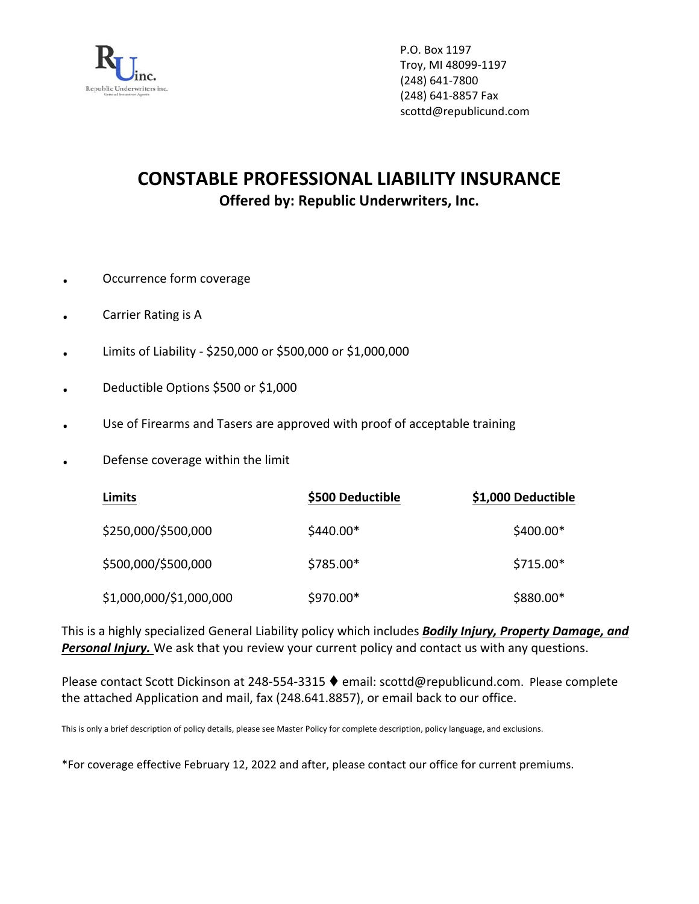

P.O. Box 1197 Troy, MI 48099‐1197 (248) 641‐7800 (248) 641‐8857 Fax scottd@republicund.com

# **CONSTABLE PROFESSIONAL LIABILITY INSURANCE Offered by: Republic Underwriters, Inc.**

- . Occurrence form coverage
- . Carrier Rating is <sup>A</sup>
- . Limits of Liability ‐ \$250,000 or \$500,000 or \$1,000,000
- . Deductible Options \$500 or \$1,000
- . Use of Firearms and Tasers are approved with proof of acceptable training
- . Defense coverage within the limit

| Limits                  | \$500 Deductible | \$1,000 Deductible |
|-------------------------|------------------|--------------------|
| \$250,000/\$500,000     | $$440.00*$       | $$400.00*$         |
| \$500,000/\$500,000     | $$785.00*$       | $$715.00*$         |
| \$1,000,000/\$1,000,000 | $$970.00*$       | $$880.00*$         |

This is a highly specialized General Liability policy which includes *Bodily Injury, Property Damage, and Personal Injury.* We ask that you review your current policy and contact us with any questions.

Please contact Scott Dickinson at 248-554-3315 ♦ email: scottd@republicund.com. Please complete the attached Application and mail, fax (248.641.8857), or email back to our office.

This is only a brief description of policy details, please see Master Policy for complete description, policy language, and exclusions.

\*For coverage effective February 12, 2022 and after, please contact our office for current premiums.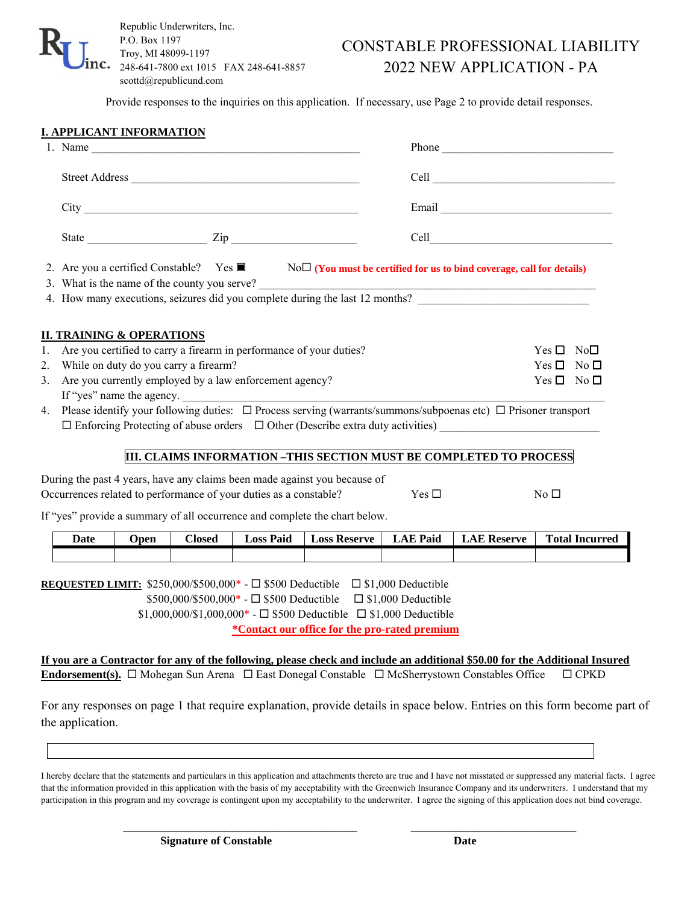

## CONSTABLE PROFESSIONAL LIABILITY 2022 NEW APPLICATION - PA

Provide responses to the inquiries on this application. If necessary, use Page 2 to provide detail responses.

|                                                                            |                                                                                                                                                                                                                          | <b>I. APPLICANT INFORMATION</b>      |               |                                                                     |                                                                                                                                                                                                                                                                                                                   |                 |                                                                                                                                                                                     |                                                                                                                                            |  |  |
|----------------------------------------------------------------------------|--------------------------------------------------------------------------------------------------------------------------------------------------------------------------------------------------------------------------|--------------------------------------|---------------|---------------------------------------------------------------------|-------------------------------------------------------------------------------------------------------------------------------------------------------------------------------------------------------------------------------------------------------------------------------------------------------------------|-----------------|-------------------------------------------------------------------------------------------------------------------------------------------------------------------------------------|--------------------------------------------------------------------------------------------------------------------------------------------|--|--|
|                                                                            |                                                                                                                                                                                                                          |                                      |               |                                                                     |                                                                                                                                                                                                                                                                                                                   |                 |                                                                                                                                                                                     |                                                                                                                                            |  |  |
|                                                                            |                                                                                                                                                                                                                          |                                      |               |                                                                     |                                                                                                                                                                                                                                                                                                                   |                 |                                                                                                                                                                                     |                                                                                                                                            |  |  |
|                                                                            |                                                                                                                                                                                                                          |                                      |               |                                                                     |                                                                                                                                                                                                                                                                                                                   |                 | Email                                                                                                                                                                               |                                                                                                                                            |  |  |
|                                                                            |                                                                                                                                                                                                                          |                                      |               |                                                                     |                                                                                                                                                                                                                                                                                                                   |                 |                                                                                                                                                                                     |                                                                                                                                            |  |  |
|                                                                            |                                                                                                                                                                                                                          |                                      |               |                                                                     |                                                                                                                                                                                                                                                                                                                   |                 | 2. Are you a certified Constable? Yes $\blacksquare$ No $\square$ (You must be certified for us to bind coverage, call for details)<br>3. What is the name of the county you serve? |                                                                                                                                            |  |  |
|                                                                            | 4. How many executions, seizures did you complete during the last 12 months?                                                                                                                                             |                                      |               |                                                                     |                                                                                                                                                                                                                                                                                                                   |                 |                                                                                                                                                                                     |                                                                                                                                            |  |  |
| 1.                                                                         |                                                                                                                                                                                                                          | <b>II. TRAINING &amp; OPERATIONS</b> |               | Are you certified to carry a firearm in performance of your duties? |                                                                                                                                                                                                                                                                                                                   |                 |                                                                                                                                                                                     | $Yes \Box No \Box$                                                                                                                         |  |  |
| While on duty do you carry a firearm?<br>$Yes \Box No \Box$<br>2.<br>3.    |                                                                                                                                                                                                                          |                                      |               |                                                                     |                                                                                                                                                                                                                                                                                                                   |                 |                                                                                                                                                                                     | $Yes \Box No \Box$                                                                                                                         |  |  |
|                                                                            | Are you currently employed by a law enforcement agency?                                                                                                                                                                  |                                      |               |                                                                     |                                                                                                                                                                                                                                                                                                                   |                 |                                                                                                                                                                                     |                                                                                                                                            |  |  |
|                                                                            |                                                                                                                                                                                                                          |                                      |               |                                                                     |                                                                                                                                                                                                                                                                                                                   |                 |                                                                                                                                                                                     |                                                                                                                                            |  |  |
|                                                                            | 4. Please identify your following duties: $\Box$ Process serving (warrants/summons/subpoenas etc) $\Box$ Prisoner transport<br>$\Box$ Enforcing Protecting of abuse orders $\Box$ Other (Describe extra duty activities) |                                      |               |                                                                     |                                                                                                                                                                                                                                                                                                                   |                 |                                                                                                                                                                                     |                                                                                                                                            |  |  |
|                                                                            |                                                                                                                                                                                                                          |                                      |               |                                                                     |                                                                                                                                                                                                                                                                                                                   |                 | III. CLAIMS INFORMATION -THIS SECTION MUST BE COMPLETED TO PROCESS                                                                                                                  |                                                                                                                                            |  |  |
|                                                                            |                                                                                                                                                                                                                          |                                      |               |                                                                     |                                                                                                                                                                                                                                                                                                                   |                 |                                                                                                                                                                                     |                                                                                                                                            |  |  |
|                                                                            | During the past 4 years, have any claims been made against you because of<br>Occurrences related to performance of your duties as a constable?<br>Yes $\square$<br>No <sub>1</sub>                                       |                                      |               |                                                                     |                                                                                                                                                                                                                                                                                                                   |                 |                                                                                                                                                                                     |                                                                                                                                            |  |  |
| If "yes" provide a summary of all occurrence and complete the chart below. |                                                                                                                                                                                                                          |                                      |               |                                                                     |                                                                                                                                                                                                                                                                                                                   |                 |                                                                                                                                                                                     |                                                                                                                                            |  |  |
|                                                                            | Date                                                                                                                                                                                                                     | <b>Open</b>                          | <b>Closed</b> | <b>Loss Paid</b>                                                    | <b>Loss Reserve</b>                                                                                                                                                                                                                                                                                               | <b>LAE Paid</b> | <b>LAE Reserve</b>                                                                                                                                                                  | <b>Total Incurred</b>                                                                                                                      |  |  |
|                                                                            |                                                                                                                                                                                                                          |                                      |               |                                                                     |                                                                                                                                                                                                                                                                                                                   |                 |                                                                                                                                                                                     |                                                                                                                                            |  |  |
|                                                                            |                                                                                                                                                                                                                          |                                      |               |                                                                     | <b>REQUESTED LIMIT:</b> \$250,000/\$500,000* - $\Box$ \$500 Deductible $\Box$ \$1,000 Deductible<br>$$500,000$ /\$500,000* - $\square$ \$500 Deductible $\square$ \$1,000 Deductible<br>$$1,000,000/$1,000,000* - \Box $500$ Deductible $\Box $1,000$ Deductible<br>*Contact our office for the pro-rated premium |                 |                                                                                                                                                                                     |                                                                                                                                            |  |  |
|                                                                            |                                                                                                                                                                                                                          |                                      |               |                                                                     |                                                                                                                                                                                                                                                                                                                   |                 | <b>Endorsement(s).</b> $\Box$ Mohegan Sun Arena $\Box$ East Donegal Constable $\Box$ McSherrystown Constables Office                                                                | If you are a Contractor for any of the following, please check and include an additional \$50.00 for the Additional Insured<br>$\Box$ CPKD |  |  |
|                                                                            | the application.                                                                                                                                                                                                         |                                      |               |                                                                     |                                                                                                                                                                                                                                                                                                                   |                 |                                                                                                                                                                                     | For any responses on page 1 that require explanation, provide details in space below. Entries on this form become part of                  |  |  |

I hereby declare that the statements and particulars in this application and attachments thereto are true and I have not misstated or suppressed any material facts. I agree that the information provided in this application with the basis of my acceptability with the Greenwich Insurance Company and its underwriters. I understand that my participation in this program and my coverage is contingent upon my acceptability to the underwriter. I agree the signing of this application does not bind coverage.